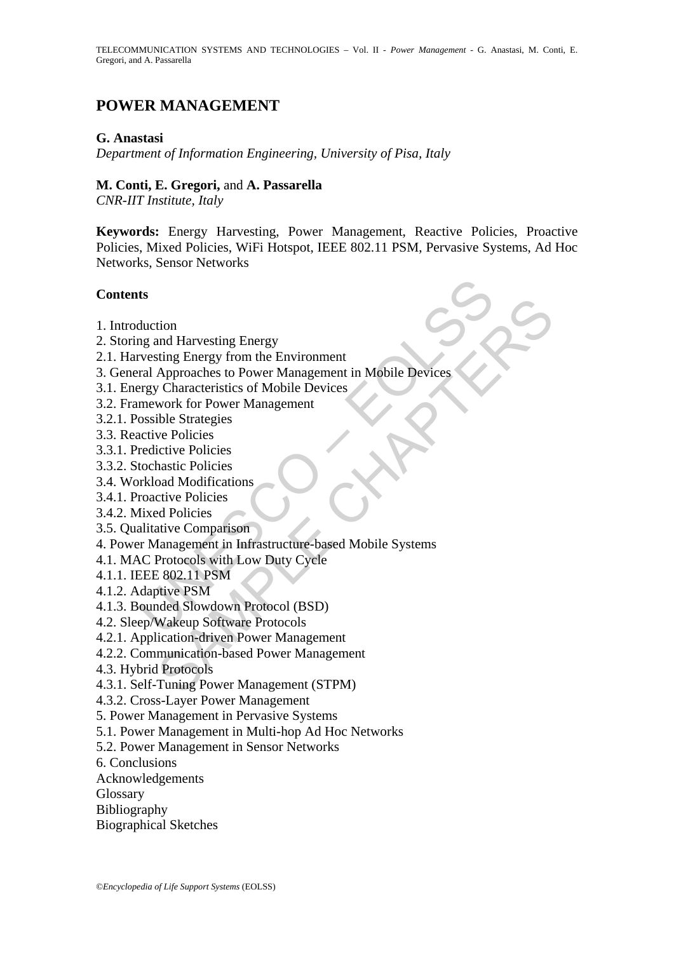# **POWER MANAGEMENT**

## **G. Anastasi**

*Department of Information Engineering, University of Pisa, Italy* 

### **M. Conti, E. Gregori,** and **A. Passarella**

*CNR-IIT Institute, Italy* 

**Keywords:** Energy Harvesting, Power Management, Reactive Policies, Proactive Policies, Mixed Policies, WiFi Hotspot, IEEE 802.11 PSM, Pervasive Systems, Ad Hoc Networks, Sensor Networks

### **Contents**

- 1. Introduction
- 2. Storing and Harvesting Energy
- 2.1. Harvesting Energy from the Environment
- ts<br>
ts<br>
duction<br>
mg and Harvesting Energy<br>
rvesting Energy from the Environment<br>
rarg Characteristics of Mobile Devices<br>
mework for Power Management<br>
mework for Power Management<br>
mework for Power Management<br>
scondition<br>
sc tion<br>
ind Harvesting Energy<br>
string Energy from the Environment<br>
Approaches to Power Management in Møbile Devices<br>
volver Characteristics of Mobile Devices<br>
ible Strategies<br>
ive Policies<br>
ive Policies<br>
inter Comparison<br>
cu 3. General Approaches to Power Management in Mobile Devices
- 3.1. Energy Characteristics of Mobile Devices
- 3.2. Framework for Power Management
- 3.2.1. Possible Strategies
- 3.3. Reactive Policies
- 3.3.1. Predictive Policies
- 3.3.2. Stochastic Policies
- 3.4. Workload Modifications
- 3.4.1. Proactive Policies
- 3.4.2. Mixed Policies
- 3.5. Qualitative Comparison
- 4. Power Management in Infrastructure-based Mobile Systems
- 4.1. MAC Protocols with Low Duty Cycle
- 4.1.1. IEEE 802.11 PSM
- 4.1.2. Adaptive PSM
- 4.1.3. Bounded Slowdown Protocol (BSD)
- 4.2. Sleep/Wakeup Software Protocols
- 4.2.1. Application-driven Power Management
- 4.2.2. Communication-based Power Management
- 4.3. Hybrid Protocols
- 4.3.1. Self-Tuning Power Management (STPM)
- 4.3.2. Cross-Layer Power Management
- 5. Power Management in Pervasive Systems
- 5.1. Power Management in Multi-hop Ad Hoc Networks
- 5.2. Power Management in Sensor Networks
- 6. Conclusions
- Acknowledgements
- **Glossary**
- Bibliography
- Biographical Sketches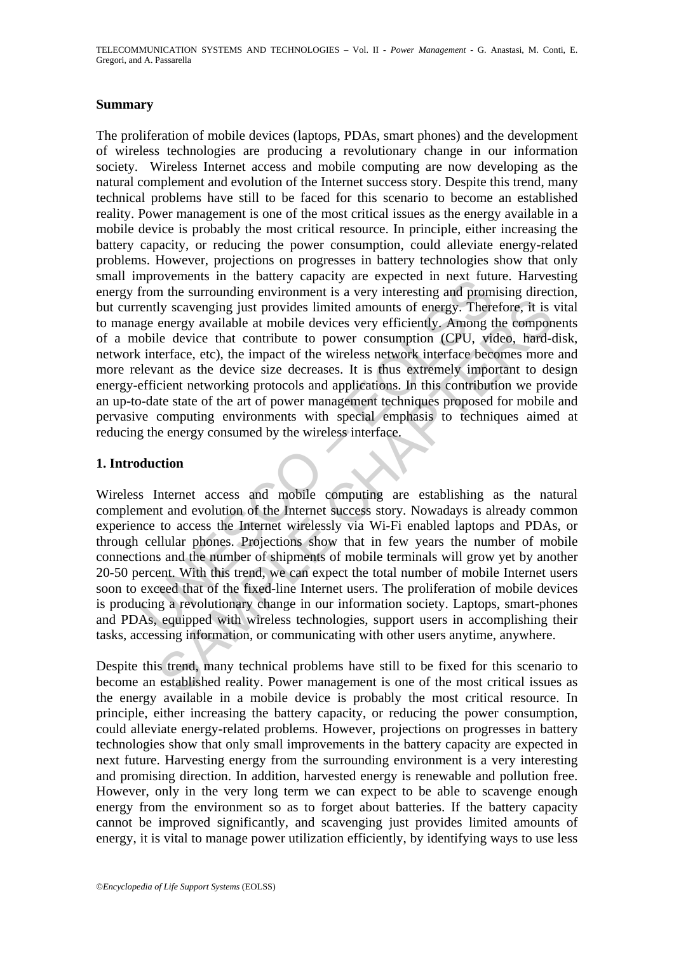## **Summary**

mprovements in the variety capacity and expected in the tract rutter<br>from the surrounding environment is a very interesting and prom<br>rently scavenging just provides limited amounts of energy. There<br>ge energy available at m The proliferation of mobile devices (laptops, PDAs, smart phones) and the development of wireless technologies are producing a revolutionary change in our information society. Wireless Internet access and mobile computing are now developing as the natural complement and evolution of the Internet success story. Despite this trend, many technical problems have still to be faced for this scenario to become an established reality. Power management is one of the most critical issues as the energy available in a mobile device is probably the most critical resource. In principle, either increasing the battery capacity, or reducing the power consumption, could alleviate energy-related problems. However, projections on progresses in battery technologies show that only small improvements in the battery capacity are expected in next future. Harvesting energy from the surrounding environment is a very interesting and promising direction, but currently scavenging just provides limited amounts of energy. Therefore, it is vital to manage energy available at mobile devices very efficiently. Among the components of a mobile device that contribute to power consumption (CPU, video, hard-disk, network interface, etc), the impact of the wireless network interface becomes more and more relevant as the device size decreases. It is thus extremely important to design energy-efficient networking protocols and applications. In this contribution we provide an up-to-date state of the art of power management techniques proposed for mobile and pervasive computing environments with special emphasis to techniques aimed at reducing the energy consumed by the wireless interface.

# **1. Introduction**

Iy scavenging just provides limited amounts of energy. Therefore, it is<br>energy available at mobile devices very efficiently. Among the compone<br>le device that contribute to power consumption (CPU, video, hard-<br>terface, etc) Wireless Internet access and mobile computing are establishing as the natural complement and evolution of the Internet success story. Nowadays is already common experience to access the Internet wirelessly via Wi-Fi enabled laptops and PDAs, or through cellular phones. Projections show that in few years the number of mobile connections and the number of shipments of mobile terminals will grow yet by another 20-50 percent. With this trend, we can expect the total number of mobile Internet users soon to exceed that of the fixed-line Internet users. The proliferation of mobile devices is producing a revolutionary change in our information society. Laptops, smart-phones and PDAs, equipped with wireless technologies, support users in accomplishing their tasks, accessing information, or communicating with other users anytime, anywhere.

Despite this trend, many technical problems have still to be fixed for this scenario to become an established reality. Power management is one of the most critical issues as the energy available in a mobile device is probably the most critical resource. In principle, either increasing the battery capacity, or reducing the power consumption, could alleviate energy-related problems. However, projections on progresses in battery technologies show that only small improvements in the battery capacity are expected in next future. Harvesting energy from the surrounding environment is a very interesting and promising direction. In addition, harvested energy is renewable and pollution free. However, only in the very long term we can expect to be able to scavenge enough energy from the environment so as to forget about batteries. If the battery capacity cannot be improved significantly, and scavenging just provides limited amounts of energy, it is vital to manage power utilization efficiently, by identifying ways to use less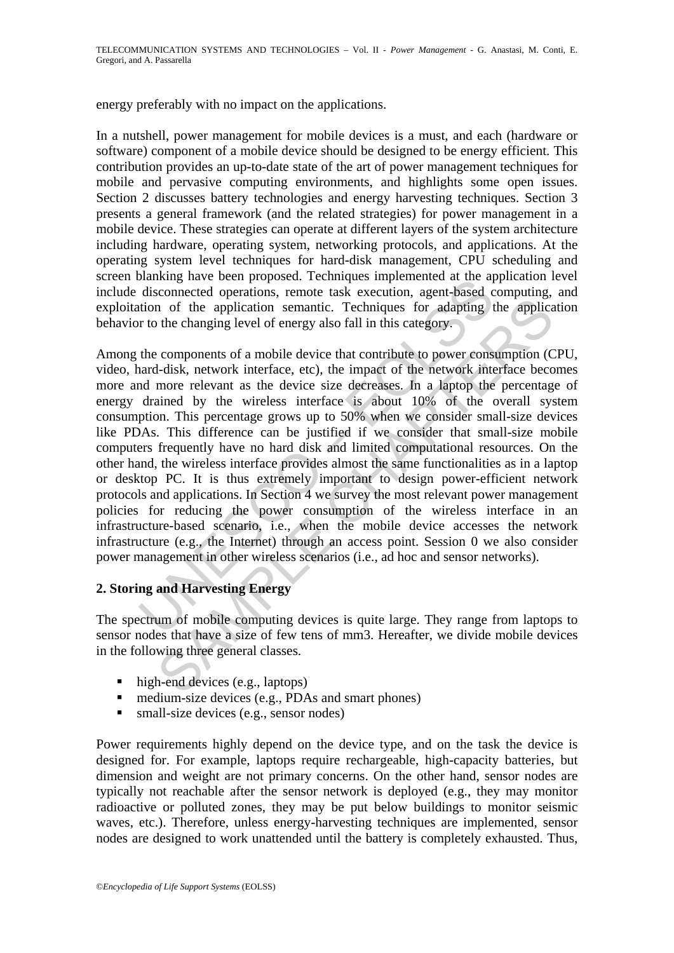energy preferably with no impact on the applications.

In a nutshell, power management for mobile devices is a must, and each (hardware or software) component of a mobile device should be designed to be energy efficient. This contribution provides an up-to-date state of the art of power management techniques for mobile and pervasive computing environments, and highlights some open issues. Section 2 discusses battery technologies and energy harvesting techniques. Section 3 presents a general framework (and the related strategies) for power management in a mobile device. These strategies can operate at different layers of the system architecture including hardware, operating system, networking protocols, and applications. At the operating system level techniques for hard-disk management, CPU scheduling and screen blanking have been proposed. Techniques implemented at the application level include disconnected operations, remote task execution, agent-based computing, and exploitation of the application semantic. Techniques for adapting the application behavior to the changing level of energy also fall in this category.

basinary and vector proposed. Techniques injeration at the application<br>disconnected operations, remote task execution, agent-based chion of the application semantic. Techniques for adapting t<br>r to the changing level of ene in of the application semantic. Techniques for adapting the application techniques for adapting the application techniques for adapting the application techniques of a mobile device that contribute to power consumption (C Among the components of a mobile device that contribute to power consumption (CPU, video, hard-disk, network interface, etc), the impact of the network interface becomes more and more relevant as the device size decreases. In a laptop the percentage of energy drained by the wireless interface is about 10% of the overall system consumption. This percentage grows up to 50% when we consider small-size devices like PDAs. This difference can be justified if we consider that small-size mobile computers frequently have no hard disk and limited computational resources. On the other hand, the wireless interface provides almost the same functionalities as in a laptop or desktop PC. It is thus extremely important to design power-efficient network protocols and applications. In Section 4 we survey the most relevant power management policies for reducing the power consumption of the wireless interface in an infrastructure-based scenario, i.e., when the mobile device accesses the network infrastructure (e.g., the Internet) through an access point. Session 0 we also consider power management in other wireless scenarios (i.e., ad hoc and sensor networks).

# **2. Storing and Harvesting Energy**

The spectrum of mobile computing devices is quite large. They range from laptops to sensor nodes that have a size of few tens of mm3. Hereafter, we divide mobile devices in the following three general classes.

- $\blacksquare$  high-end devices (e.g., laptops)
- $\blacksquare$  medium-size devices (e.g., PDAs and smart phones)
- $\blacksquare$  small-size devices (e.g., sensor nodes)

Power requirements highly depend on the device type, and on the task the device is designed for. For example, laptops require rechargeable, high-capacity batteries, but dimension and weight are not primary concerns. On the other hand, sensor nodes are typically not reachable after the sensor network is deployed (e.g., they may monitor radioactive or polluted zones, they may be put below buildings to monitor seismic waves, etc.). Therefore, unless energy-harvesting techniques are implemented, sensor nodes are designed to work unattended until the battery is completely exhausted. Thus,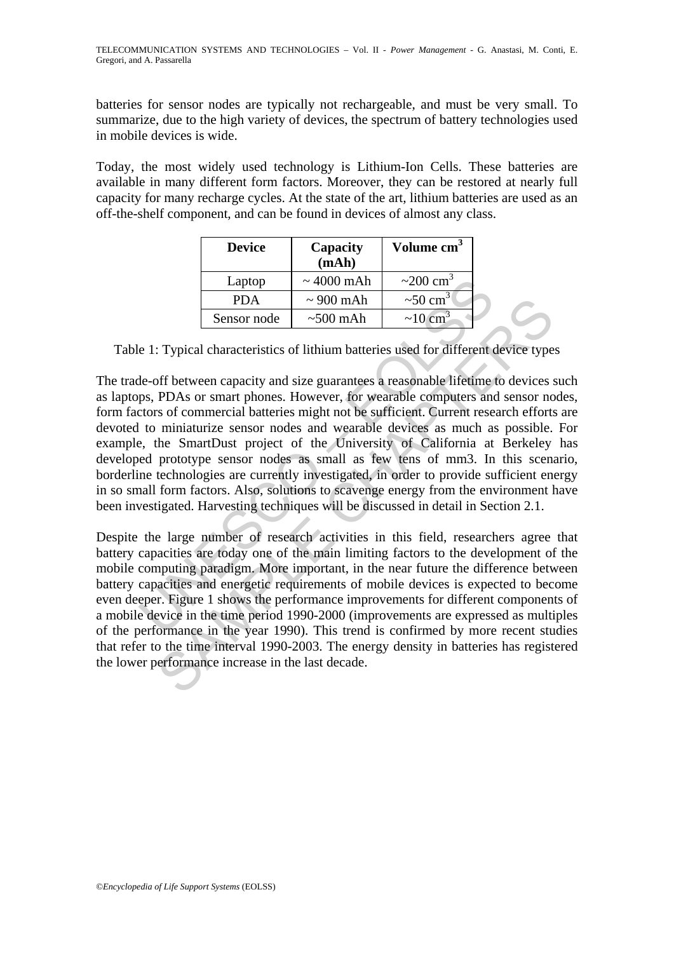batteries for sensor nodes are typically not rechargeable, and must be very small. To summarize, due to the high variety of devices, the spectrum of battery technologies used in mobile devices is wide.

Today, the most widely used technology is Lithium-Ion Cells. These batteries are available in many different form factors. Moreover, they can be restored at nearly full capacity for many recharge cycles. At the state of the art, lithium batteries are used as an off-the-shelf component, and can be found in devices of almost any class.

| <b>Device</b> | Capacity<br>(mAh) | Volume cm <sup>3</sup>     |
|---------------|-------------------|----------------------------|
| Laptop        | $\sim 4000$ mAh   | $\sim$ 200 cm <sup>3</sup> |
| PDA           | $\sim$ 900 mAh    | $\sim 50 \text{ cm}^3$     |
| Sensor node   | $\sim$ 500 mAh    | $\sim 10 \text{ cm}^3$     |

Table 1: Typical characteristics of lithium batteries used for different device types

UNESCO – EOLSS SAMPLE CHAPTERS The trade-off between capacity and size guarantees a reasonable lifetime to devices such as laptops, PDAs or smart phones. However, for wearable computers and sensor nodes, form factors of commercial batteries might not be sufficient. Current research efforts are devoted to miniaturize sensor nodes and wearable devices as much as possible. For example, the SmartDust project of the University of California at Berkeley has developed prototype sensor nodes as small as few tens of mm3. In this scenario, borderline technologies are currently investigated, in order to provide sufficient energy in so small form factors. Also, solutions to scavenge energy from the environment have been investigated. Harvesting techniques will be discussed in detail in Section 2.1.

Despite the large number of research activities in this field, researchers agree that battery capacities are today one of the main limiting factors to the development of the mobile computing paradigm. More important, in the near future the difference between battery capacities and energetic requirements of mobile devices is expected to become even deeper. Figure 1 shows the performance improvements for different components of a mobile device in the time period 1990-2000 (improvements are expressed as multiples of the performance in the year 1990). This trend is confirmed by more recent studies that refer to the time interval 1990-2003. The energy density in batteries has registered the lower performance increase in the last decade.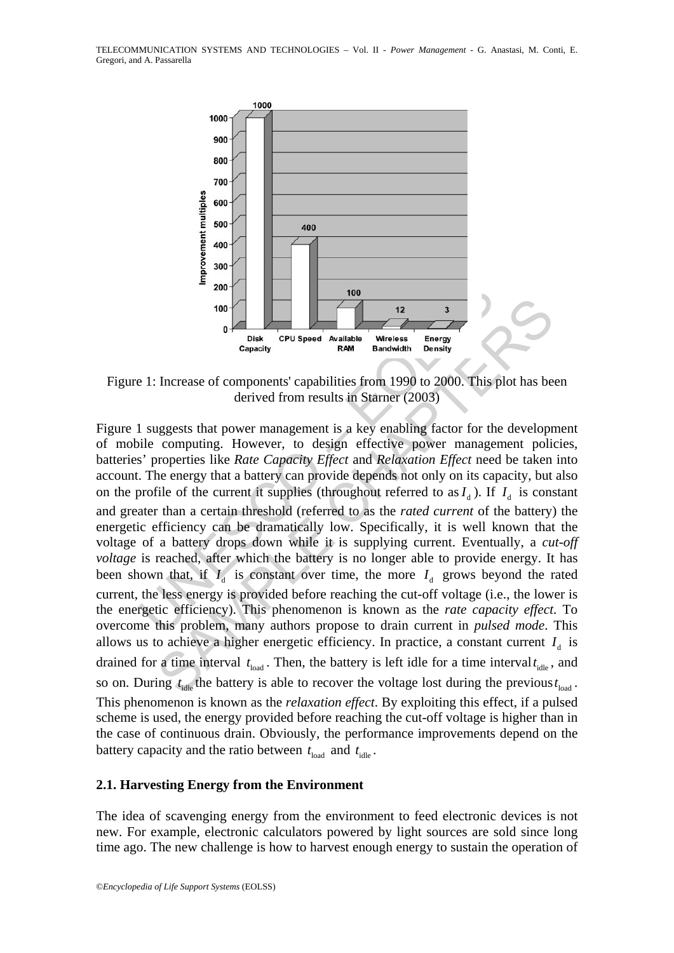

Figure 1: Increase of components' capabilities from 1990 to 2000. This plot has been derived from results in Starner (2003)

<sup>2</sup><br>
<sup>100</sup><br>
<sup>100</sup><br>
<sup>100</sup><br>
<sup>12</sup><br>
<sup>23</sup><br>
<sup>23</sup><br>
<sup>23</sup><br>
<sup>23</sup><br>
<sup>23</sup><br>
<sup>23</sup><br>
<sup>23</sup><br>
<sup>23</sup><br>
<sup>23</sup><br>
<sup>23</sup><br>
<sup>23</sup><br>
<sup>23</sup><br>
<sup>23</sup><br>
<sup>23</sup><br>
<sup>23</sup><br>
<sup>23</sup><br>
<sup>23</sup><br>
<sup>23</sup><br>
<sup>23</sup><br>
<sup>23</sup><br>
<sup>23</sup><br>
<sup>23</sup><br>
<sup>23</sup><br>
<sup>23</sup><br>
<sup>23</sup><br>
<sup>23</sup><br>
<sup>23</sup><br>
<sup>23</sup><br>
<sup>23</sup><br>
<sup>23</sup><br>
<sup>23</sup><br>
<sup>23</sup> The content of the battery of the content of the battery is a denived by the content of the battery of the derived from results in Starner (2003). This plot has be derived from results in Starner (2003) aggests that power Figure 1 suggests that power management is a key enabling factor for the development of mobile computing. However, to design effective power management policies, batteries' properties like *Rate Capacity Effect* and *Relaxation Effect* need be taken into account. The energy that a battery can provide depends not only on its capacity, but also on the profile of the current it supplies (throughout referred to as  $I_d$ ). If  $I_d$  is constant and greater than a certain threshold (referred to as the *rated current* of the battery) the energetic efficiency can be dramatically low. Specifically, it is well known that the voltage of a battery drops down while it is supplying current. Eventually, a *cut-off voltage* is reached, after which the battery is no longer able to provide energy. It has been shown that, if  $I_4$  is constant over time, the more  $I_4$  grows beyond the rated current, the less energy is provided before reaching the cut-off voltage (i.e., the lower is the energetic efficiency). This phenomenon is known as the *rate capacity effect*. To overcome this problem, many authors propose to drain current in *pulsed mode*. This allows us to achieve a higher energetic efficiency. In practice, a constant current  $I_d$  is drained for a time interval  $t_{load}$ . Then, the battery is left idle for a time interval  $t_{idle}$ , and so on. During  $t_{\text{idle}}$  the battery is able to recover the voltage lost during the previous  $t_{\text{load}}$ . This phenomenon is known as the *relaxation effect*. By exploiting this effect, if a pulsed scheme is used, the energy provided before reaching the cut-off voltage is higher than in the case of continuous drain. Obviously, the performance improvements depend on the battery capacity and the ratio between  $t_{\text{load}}$  and  $t_{\text{idle}}$ .

#### **2.1. Harvesting Energy from the Environment**

The idea of scavenging energy from the environment to feed electronic devices is not new. For example, electronic calculators powered by light sources are sold since long time ago. The new challenge is how to harvest enough energy to sustain the operation of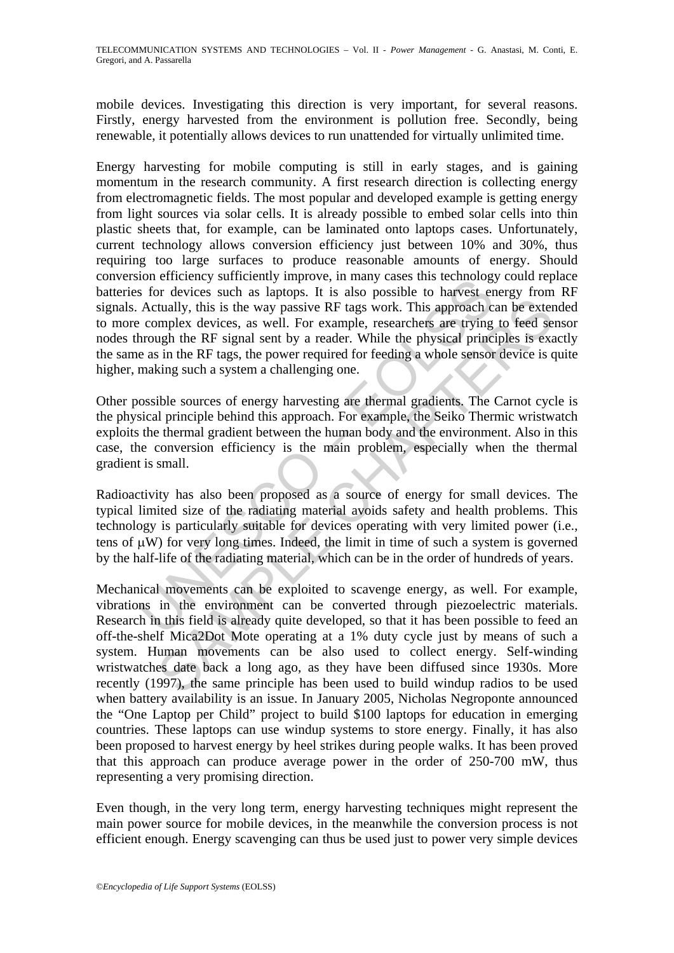mobile devices. Investigating this direction is very important, for several reasons. Firstly, energy harvested from the environment is pollution free. Secondly, being renewable, it potentially allows devices to run unattended for virtually unlimited time.

of enterinty summarized many cases that detections is for devices such as laptops. It is also possible to harvest er Actually, this is the way passive RF tags work. This approach c complex devices, as well. For example, re Energy harvesting for mobile computing is still in early stages, and is gaining momentum in the research community. A first research direction is collecting energy from electromagnetic fields. The most popular and developed example is getting energy from light sources via solar cells. It is already possible to embed solar cells into thin plastic sheets that, for example, can be laminated onto laptops cases. Unfortunately, current technology allows conversion efficiency just between 10% and 30%, thus requiring too large surfaces to produce reasonable amounts of energy. Should conversion efficiency sufficiently improve, in many cases this technology could replace batteries for devices such as laptops. It is also possible to harvest energy from RF signals. Actually, this is the way passive RF tags work. This approach can be extended to more complex devices, as well. For example, researchers are trying to feed sensor nodes through the RF signal sent by a reader. While the physical principles is exactly the same as in the RF tags, the power required for feeding a whole sensor device is quite higher, making such a system a challenging one.

Other possible sources of energy harvesting are thermal gradients. The Carnot cycle is the physical principle behind this approach. For example, the Seiko Thermic wristwatch exploits the thermal gradient between the human body and the environment. Also in this case, the conversion efficiency is the main problem, especially when the thermal gradient is small.

Radioactivity has also been proposed as a source of energy for small devices. The typical limited size of the radiating material avoids safety and health problems. This technology is particularly suitable for devices operating with very limited power (i.e., tens of μW) for very long times. Indeed, the limit in time of such a system is governed by the half-life of the radiating material, which can be in the order of hundreds of years.

tradily, this is the way passive RF tags work. This approach can be externmelex devices, as well. For example, researchers are trying to feed seemple the RF signal sent by a reader. While the physical principles is example Mechanical movements can be exploited to scavenge energy, as well. For example, vibrations in the environment can be converted through piezoelectric materials. Research in this field is already quite developed, so that it has been possible to feed an off-the-shelf Mica2Dot Mote operating at a 1% duty cycle just by means of such a system. Human movements can be also used to collect energy. Self-winding wristwatches date back a long ago, as they have been diffused since 1930s. More recently (1997), the same principle has been used to build windup radios to be used when battery availability is an issue. In January 2005, Nicholas Negroponte announced the "One Laptop per Child" project to build \$100 laptops for education in emerging countries. These laptops can use windup systems to store energy. Finally, it has also been proposed to harvest energy by heel strikes during people walks. It has been proved that this approach can produce average power in the order of 250-700 mW, thus representing a very promising direction.

Even though, in the very long term, energy harvesting techniques might represent the main power source for mobile devices, in the meanwhile the conversion process is not efficient enough. Energy scavenging can thus be used just to power very simple devices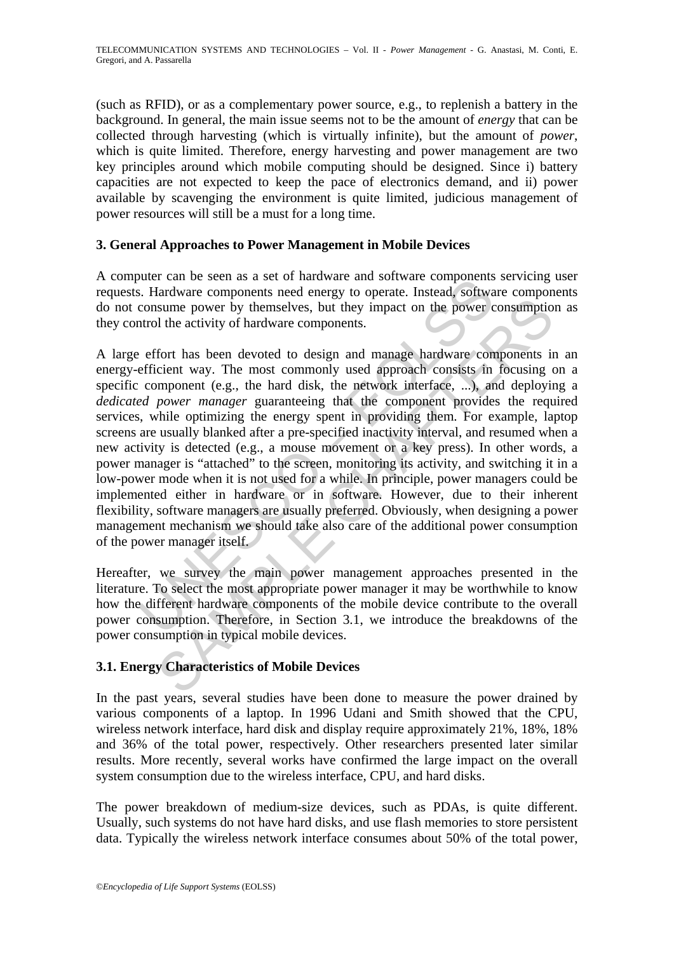(such as RFID), or as a complementary power source, e.g., to replenish a battery in the background. In general, the main issue seems not to be the amount of *energy* that can be collected through harvesting (which is virtually infinite), but the amount of *power*, which is quite limited. Therefore, energy harvesting and power management are two key principles around which mobile computing should be designed. Since i) battery capacities are not expected to keep the pace of electronics demand, and ii) power available by scavenging the environment is quite limited, judicious management of power resources will still be a must for a long time.

# **3. General Approaches to Power Management in Mobile Devices**

A computer can be seen as a set of hardware and software components servicing user requests. Hardware components need energy to operate. Instead, software components do not consume power by themselves, but they impact on the power consumption as they control the activity of hardware components.

but can be seen as a set of natural e and solition the seen as a set of natural e and solition consume power by themselves, but they impact on the power consume power by themselves, but they impact on the power consume pow sume power by themselves, but they impact on the power consumption<br>is une power by themselves, but they impact on the power consumption<br>for has been devoted to design and manage hardware components is<br>cient way. The most c A large effort has been devoted to design and manage hardware components in an energy-efficient way. The most commonly used approach consists in focusing on a specific component (e.g., the hard disk, the network interface, ...), and deploying a *dedicated power manager* guaranteeing that the component provides the required services, while optimizing the energy spent in providing them. For example, laptop screens are usually blanked after a pre-specified inactivity interval, and resumed when a new activity is detected (e.g., a mouse movement or a key press). In other words, a power manager is "attached" to the screen, monitoring its activity, and switching it in a low-power mode when it is not used for a while. In principle, power managers could be implemented either in hardware or in software. However, due to their inherent flexibility, software managers are usually preferred. Obviously, when designing a power management mechanism we should take also care of the additional power consumption of the power manager itself.

Hereafter, we survey the main power management approaches presented in the literature. To select the most appropriate power manager it may be worthwhile to know how the different hardware components of the mobile device contribute to the overall power consumption. Therefore, in Section 3.1, we introduce the breakdowns of the power consumption in typical mobile devices.

# **3.1. Energy Characteristics of Mobile Devices**

In the past years, several studies have been done to measure the power drained by various components of a laptop. In 1996 Udani and Smith showed that the CPU, wireless network interface, hard disk and display require approximately 21%, 18%, 18% and 36% of the total power, respectively. Other researchers presented later similar results. More recently, several works have confirmed the large impact on the overall system consumption due to the wireless interface, CPU, and hard disks.

The power breakdown of medium-size devices, such as PDAs, is quite different. Usually, such systems do not have hard disks, and use flash memories to store persistent data. Typically the wireless network interface consumes about 50% of the total power,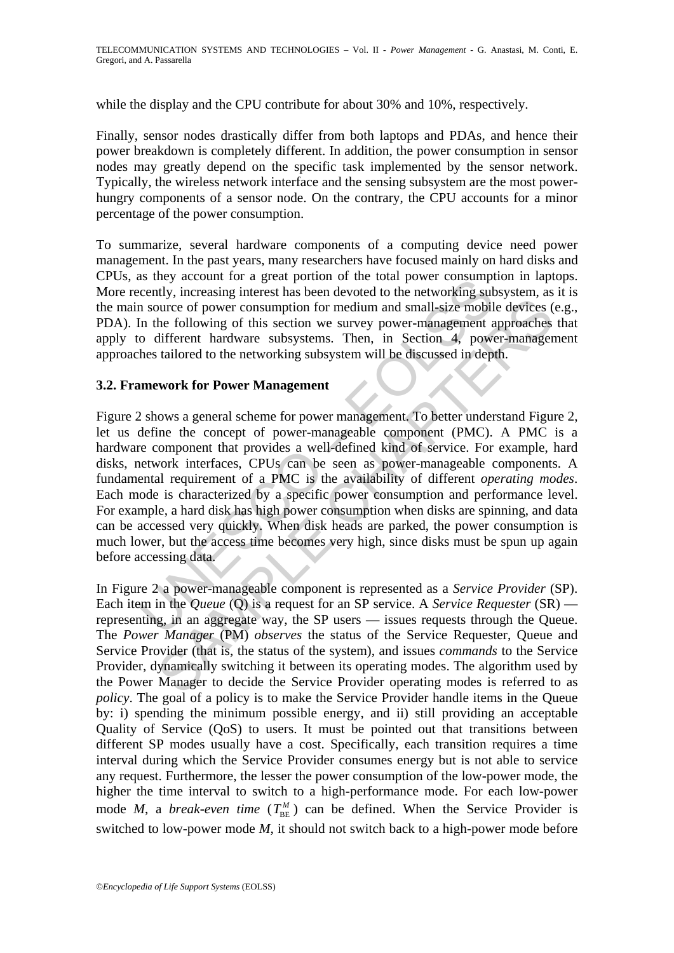while the display and the CPU contribute for about 30% and 10%, respectively.

Finally, sensor nodes drastically differ from both laptops and PDAs, and hence their power breakdown is completely different. In addition, the power consumption in sensor nodes may greatly depend on the specific task implemented by the sensor network. Typically, the wireless network interface and the sensing subsystem are the most powerhungry components of a sensor node. On the contrary, the CPU accounts for a minor percentage of the power consumption.

To summarize, several hardware components of a computing device need power management. In the past years, many researchers have focused mainly on hard disks and CPUs, as they account for a great portion of the total power consumption in laptops. More recently, increasing interest has been devoted to the networking subsystem, as it is the main source of power consumption for medium and small-size mobile devices (e.g., PDA). In the following of this section we survey power-management approaches that apply to different hardware subsystems. Then, in Section 4, power-management approaches tailored to the networking subsystem will be discussed in depth.

### **3.2. Framework for Power Management**

as they account to a great potonon on the total power consumptor<br>accently, increasing interest has been devoted to the networking sub-<br>n source of power consumption for medium and small-size mobil<br>In the following of this source of power consumption for medium and small-size mobile devices (the following of this section we survey power-management approaches different hardware subsystems. Then, in Section 4, power-management tailored to the Figure 2 shows a general scheme for power management. To better understand Figure 2, let us define the concept of power-manageable component (PMC). A PMC is a hardware component that provides a well-defined kind of service. For example, hard disks, network interfaces, CPUs can be seen as power-manageable components. A fundamental requirement of a PMC is the availability of different *operating modes*. Each mode is characterized by a specific power consumption and performance level. For example, a hard disk has high power consumption when disks are spinning, and data can be accessed very quickly. When disk heads are parked, the power consumption is much lower, but the access time becomes very high, since disks must be spun up again before accessing data.

In Figure 2 a power-manageable component is represented as a *Service Provider* (SP). Each item in the *Queue* (Q) is a request for an SP service. A *Service Requester* (SR) representing, in an aggregate way, the SP users — issues requests through the Queue. The *Power Manager* (PM) *observes* the status of the Service Requester, Queue and Service Provider (that is, the status of the system), and issues *commands* to the Service Provider, dynamically switching it between its operating modes. The algorithm used by the Power Manager to decide the Service Provider operating modes is referred to as *policy*. The goal of a policy is to make the Service Provider handle items in the Queue by: i) spending the minimum possible energy, and ii) still providing an acceptable Quality of Service (QoS) to users. It must be pointed out that transitions between different SP modes usually have a cost. Specifically, each transition requires a time interval during which the Service Provider consumes energy but is not able to service any request. Furthermore, the lesser the power consumption of the low-power mode, the higher the time interval to switch to a high-performance mode. For each low-power mode *M*, a *break-even time*  $(T_{BE}^{M})$  can be defined. When the Service Provider is switched to low-power mode *M*, it should not switch back to a high-power mode before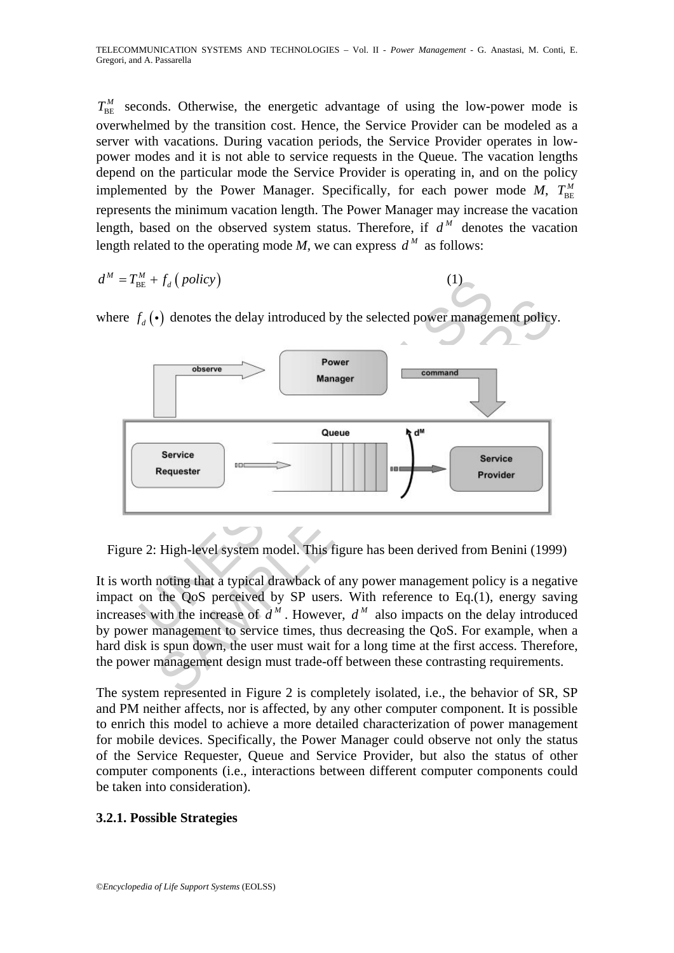TELECOMMUNICATION SYSTEMS AND TECHNOLOGIES – Vol. II - *Power Management* - G. Anastasi, M. Conti, E. Gregori, and A. Passarella

 $T_{BE}^M$  seconds. Otherwise, the energetic advantage of using the low-power mode is overwhelmed by the transition cost. Hence, the Service Provider can be modeled as a server with vacations. During vacation periods, the Service Provider operates in lowpower modes and it is not able to service requests in the Queue. The vacation lengths depend on the particular mode the Service Provider is operating in, and on the policy implemented by the Power Manager. Specifically, for each power mode  $M$ ,  $T_{\text{BE}}^M$ represents the minimum vacation length. The Power Manager may increase the vacation length, based on the observed system status. Therefore, if  $d^M$  denotes the vacation length related to the operating mode *M*, we can express  $d^M$  as follows:

$$
d^M = T_{\text{BE}}^M + f_d \left( \text{policy} \right) \tag{1}
$$

where  $f_d(\cdot)$  denotes the delay introduced by the selected power management policy.



Figure 2: High-level system model. This figure has been derived from Benini (1999)

It is worth noting that a typical drawback of any power management policy is a negative impact on the QoS perceived by SP users. With reference to Eq.(1), energy saving increases with the increase of  $d^M$ . However,  $d^M$  also impacts on the delay introduced by power management to service times, thus decreasing the QoS. For example, when a hard disk is spun down, the user must wait for a long time at the first access. Therefore, the power management design must trade-off between these contrasting requirements.

The system represented in Figure 2 is completely isolated, i.e., the behavior of SR, SP and PM neither affects, nor is affected, by any other computer component. It is possible to enrich this model to achieve a more detailed characterization of power management for mobile devices. Specifically, the Power Manager could observe not only the status of the Service Requester, Queue and Service Provider, but also the status of other computer components (i.e., interactions between different computer components could be taken into consideration).

# **3.2.1. Possible Strategies**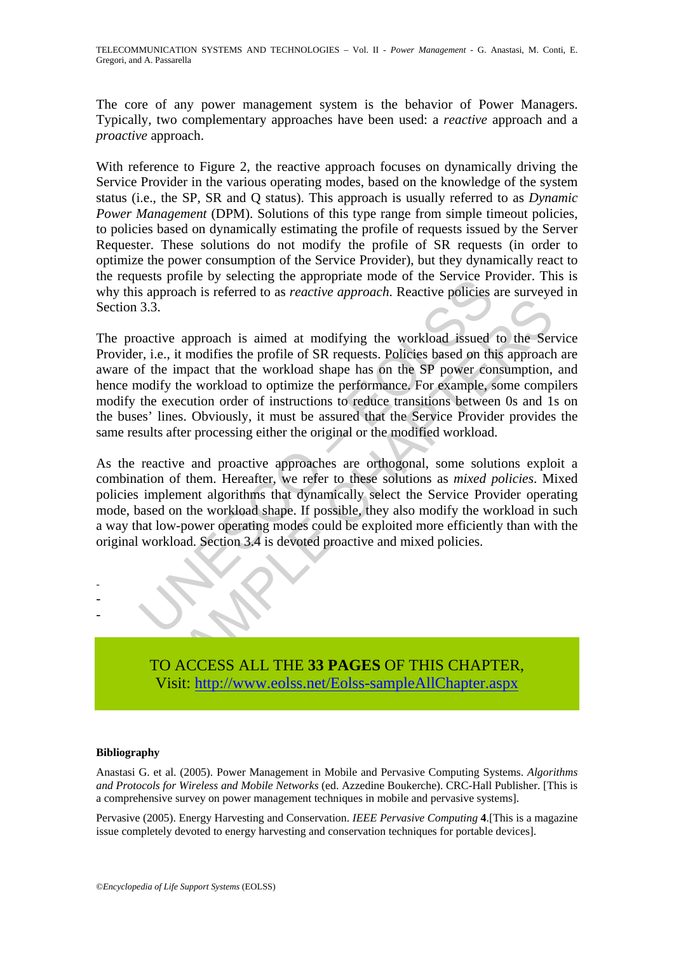The core of any power management system is the behavior of Power Managers. Typically, two complementary approaches have been used: a *reactive* approach and a *proactive* approach.

With reference to Figure 2, the reactive approach focuses on dynamically driving the Service Provider in the various operating modes, based on the knowledge of the system status (i.e., the SP, SR and Q status). This approach is usually referred to as *Dynamic Power Management* (DPM). Solutions of this type range from simple timeout policies, to policies based on dynamically estimating the profile of requests issued by the Server Requester. These solutions do not modify the profile of SR requests (in order to optimize the power consumption of the Service Provider), but they dynamically react to the requests profile by selecting the appropriate mode of the Service Provider. This is why this approach is referred to as *reactive approach*. Reactive policies are surveyed in Section 3.3.

essay profits by selecting the appropriate mode of the service Fresh sapproach is referred to as *reactive approach*. Reactive policies and a modifying the workload issued or it, i.e., it modifies the profile of SR request From the above the property and the same of the set of the set of the set of the set of the set of the set of the set of the set of the set of the set of the set of the set of the workload shape has on the SP power consump The proactive approach is aimed at modifying the workload issued to the Service Provider, i.e., it modifies the profile of SR requests. Policies based on this approach are aware of the impact that the workload shape has on the SP power consumption, and hence modify the workload to optimize the performance. For example, some compilers modify the execution order of instructions to reduce transitions between 0s and 1s on the buses' lines. Obviously, it must be assured that the Service Provider provides the same results after processing either the original or the modified workload.

As the reactive and proactive approaches are orthogonal, some solutions exploit a combination of them. Hereafter, we refer to these solutions as *mixed policies*. Mixed policies implement algorithms that dynamically select the Service Provider operating mode, based on the workload shape. If possible, they also modify the workload in such a way that low-power operating modes could be exploited more efficiently than with the original workload. Section 3.4 is devoted proactive and mixed policies.



#### **Bibliography**

- - -

Anastasi G. et al. (2005). Power Management in Mobile and Pervasive Computing Systems. *Algorithms and Protocols for Wireless and Mobile Networks* (ed. Azzedine Boukerche). CRC-Hall Publisher. [This is a comprehensive survey on power management techniques in mobile and pervasive systems].

Pervasive (2005). Energy Harvesting and Conservation. *IEEE Pervasive Computing* **4**.[This is a magazine issue completely devoted to energy harvesting and conservation techniques for portable devices].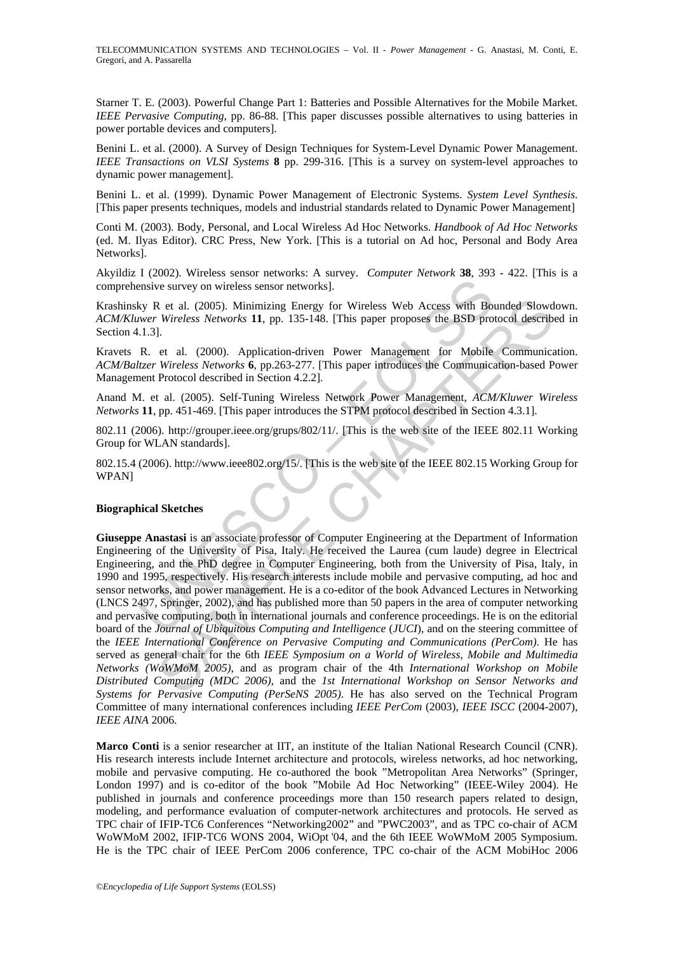TELECOMMUNICATION SYSTEMS AND TECHNOLOGIES – Vol. II - *Power Management* - G. Anastasi, M. Conti, E. Gregori, and A. Passarella

Starner T. E. (2003). Powerful Change Part 1: Batteries and Possible Alternatives for the Mobile Market. *IEEE Pervasive Computing*, pp. 86-88. [This paper discusses possible alternatives to using batteries in power portable devices and computers].

Benini L. et al. (2000). A Survey of Design Techniques for System-Level Dynamic Power Management. *IEEE Transactions on VLSI Systems* **8** pp. 299-316. [This is a survey on system-level approaches to dynamic power management].

Benini L. et al. (1999). Dynamic Power Management of Electronic Systems. *System Level Synthesis*. [This paper presents techniques, models and industrial standards related to Dynamic Power Management]

Conti M. (2003). Body, Personal, and Local Wireless Ad Hoc Networks. *Handbook of Ad Hoc Networks*  (ed. M. Ilyas Editor). CRC Press, New York. [This is a tutorial on Ad hoc, Personal and Body Area Networks].

Akyildiz I (2002). Wireless sensor networks: A survey. *Computer Network* **38**, 393 - 422. [This is a comprehensive survey on wireless sensor networks].

Krashinsky R et al. (2005). Minimizing Energy for Wireless Web Access with Bounded Slowdown. *ACM/Kluwer Wireless Networks* **11**, pp. 135-148. [This paper proposes the BSD protocol described in Section 4.1.3].

Kravets R. et al. (2000). Application-driven Power Management for Mobile Communication. *ACM/Baltzer Wireless Networks* **6**, pp.263-277. [This paper introduces the Communication-based Power Management Protocol described in Section 4.2.2].

Anand M. et al. (2005). Self-Tuning Wireless Network Power Management, *ACM/Kluwer Wireless Networks* **11**, pp. 451-469. [This paper introduces the STPM protocol described in Section 4.3.1].

802.11 (2006). http://grouper.ieee.org/grups/802/11/. [This is the web site of the IEEE 802.11 Working Group for WLAN standards].

802.15.4 (2006). http://www.ieee802.org/15/. [This is the web site of the IEEE 802.15 Working Group for WPAN]

#### **Biographical Sketches**

Ensive survey on wireless sensor networks].<br>
Ensive survey on wireless sensor networks].<br>
Experimental entergy for Wireless Web Access with Bother Wireless Networks 11, pp. 135-148. [This paper proposes the BSD pro<br>
1.3].<br> Results: (2005). Minimizing Energy for Wireless Web Access with Bounded Slowd<br>
Wireless Networks 11, pp. 135-148. [This paper proposes the BSD protocol describes<br>
1. Wireless Networks 6, pp.263-277. [This paper introduces **Giuseppe Anastasi** is an associate professor of Computer Engineering at the Department of Information Engineering of the University of Pisa, Italy. He received the Laurea (cum laude) degree in Electrical Engineering, and the PhD degree in Computer Engineering, both from the University of Pisa, Italy, in 1990 and 1995, respectively. His research interests include mobile and pervasive computing, ad hoc and sensor networks, and power management. He is a co-editor of the book Advanced Lectures in Networking (LNCS 2497, Springer, 2002), and has published more than 50 papers in the area of computer networking and pervasive computing, both in international journals and conference proceedings. He is on the editorial board of the *Journal of Ubiquitous Computing and Intelligence* (*JUCI*), and on the steering committee of the *IEEE International Conference on Pervasive Computing and Communications (PerCom)*. He has served as general chair for the 6th *IEEE Symposium on a World of Wireless, Mobile and Multimedia Networks (WoWMoM 2005)*, and as program chair of the 4th *International Workshop on Mobile Distributed Computing (MDC 2006),* and the *1st International Workshop on Sensor Networks and Systems for Pervasive Computing (PerSeNS 2005)*. He has also served on the Technical Program Committee of many international conferences including *IEEE PerCom* (2003), *IEEE ISCC* (2004-2007), *IEEE AINA* 2006.

**Marco Conti** is a senior researcher at IIT, an institute of the Italian National Research Council (CNR). His research interests include Internet architecture and protocols, wireless networks, ad hoc networking, mobile and pervasive computing. He co-authored the book "Metropolitan Area Networks" (Springer, London 1997) and is co-editor of the book "Mobile Ad Hoc Networking" (IEEE-Wiley 2004). He published in journals and conference proceedings more than 150 research papers related to design, modeling, and performance evaluation of computer-network architectures and protocols. He served as TPC chair of IFIP-TC6 Conferences "Networking2002" and "PWC2003", and as TPC co-chair of ACM WoWMoM 2002, IFIP-TC6 WONS 2004, WiOpt '04, and the 6th IEEE WoWMoM 2005 Symposium. He is the TPC chair of IEEE PerCom 2006 conference, TPC co-chair of the ACM MobiHoc 2006